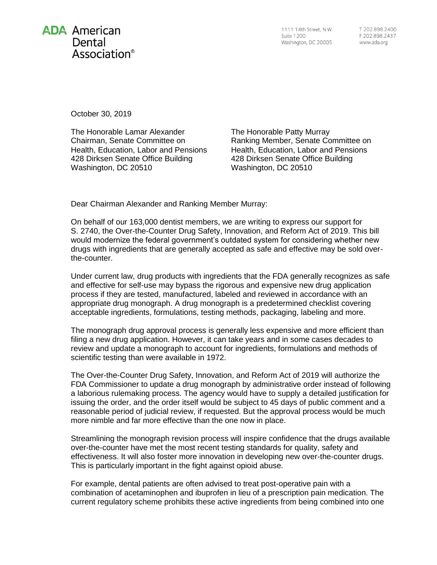

1111 14th Street, N.W. **Suite 1200** Washington, DC 20005

T 202.898.2400 F 202.898.2437 www.ada.org

October 30, 2019

The Honorable Lamar Alexander Chairman, Senate Committee on Health, Education, Labor and Pensions 428 Dirksen Senate Office Building Washington, DC 20510

The Honorable Patty Murray Ranking Member, Senate Committee on Health, Education, Labor and Pensions 428 Dirksen Senate Office Building Washington, DC 20510

Dear Chairman Alexander and Ranking Member Murray:

On behalf of our 163,000 dentist members, we are writing to express our support for S. 2740, the Over-the-Counter Drug Safety, Innovation, and Reform Act of 2019. This bill would modernize the federal government's outdated system for considering whether new drugs with ingredients that are generally accepted as safe and effective may be sold overthe-counter.

Under current law, drug products with ingredients that the FDA generally recognizes as safe and effective for self-use may bypass the rigorous and expensive new drug application process if they are tested, manufactured, labeled and reviewed in accordance with an appropriate drug monograph. A drug monograph is a predetermined checklist covering acceptable ingredients, formulations, testing methods, packaging, labeling and more.

The monograph drug approval process is generally less expensive and more efficient than filing a new drug application. However, it can take years and in some cases decades to review and update a monograph to account for ingredients, formulations and methods of scientific testing than were available in 1972.

The Over-the-Counter Drug Safety, Innovation, and Reform Act of 2019 will authorize the FDA Commissioner to update a drug monograph by administrative order instead of following a laborious rulemaking process. The agency would have to supply a detailed justification for issuing the order, and the order itself would be subject to 45 days of public comment and a reasonable period of judicial review, if requested. But the approval process would be much more nimble and far more effective than the one now in place.

Streamlining the monograph revision process will inspire confidence that the drugs available over-the-counter have met the most recent testing standards for quality, safety and effectiveness. It will also foster more innovation in developing new over-the-counter drugs. This is particularly important in the fight against opioid abuse.

For example, dental patients are often advised to treat post-operative pain with a combination of acetaminophen and ibuprofen in lieu of a prescription pain medication. The current regulatory scheme prohibits these active ingredients from being combined into one